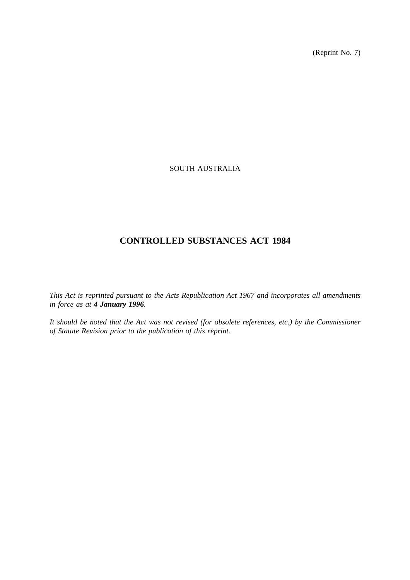(Reprint No. 7)

# SOUTH AUSTRALIA

# **CONTROLLED SUBSTANCES ACT 1984**

*This Act is reprinted pursuant to the Acts Republication Act 1967 and incorporates all amendments in force as at 4 January 1996.*

*It should be noted that the Act was not revised (for obsolete references, etc.) by the Commissioner of Statute Revision prior to the publication of this reprint.*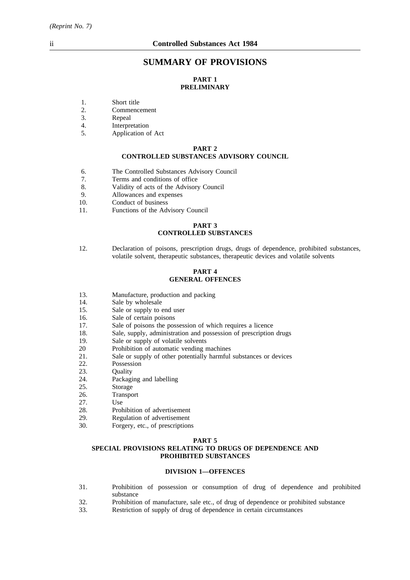# **SUMMARY OF PROVISIONS**

# **PART 1 PRELIMINARY**

- 1. Short title
- 2. Commencement
- 3. Repeal
- 4. Interpretation
- 5. Application of Act

#### **PART 2 CONTROLLED SUBSTANCES ADVISORY COUNCIL**

- 6. The Controlled Substances Advisory Council
- 7. Terms and conditions of office
- 8. Validity of acts of the Advisory Council
- 9. Allowances and expenses<br>10. Conduct of business
- Conduct of business
- 11. Functions of the Advisory Council

### **PART 3 CONTROLLED SUBSTANCES**

12. Declaration of poisons, prescription drugs, drugs of dependence, prohibited substances, volatile solvent, therapeutic substances, therapeutic devices and volatile solvents

### **PART 4 GENERAL OFFENCES**

- 13. Manufacture, production and packing
- 14. Sale by wholesale
- 15. Sale or supply to end user
- 16. Sale of certain poisons
- 17. Sale of poisons the possession of which requires a licence
- 18. Sale, supply, administration and possession of prescription drugs
- 19. Sale or supply of volatile solvents
- 20 Prohibition of automatic vending machines
- 21. Sale or supply of other potentially harmful substances or devices
- 22. Possession
- 23. Quality
- 24. Packaging and labelling
- 25. Storage
- 26. Transport<br>27. Use
- 
- 27. Use<br>28. Prol
- 28. Prohibition of advertisement<br>29. Regulation of advertisement
- 29. Regulation of advertisement<br>30. Forgery, etc., of prescription Forgery, etc., of prescriptions

#### **PART 5**

### **SPECIAL PROVISIONS RELATING TO DRUGS OF DEPENDENCE AND PROHIBITED SUBSTANCES**

#### **DIVISION 1—OFFENCES**

- 31. Prohibition of possession or consumption of drug of dependence and prohibited substance
- 32. Prohibition of manufacture, sale etc., of drug of dependence or prohibited substance
- 33. Restriction of supply of drug of dependence in certain circumstances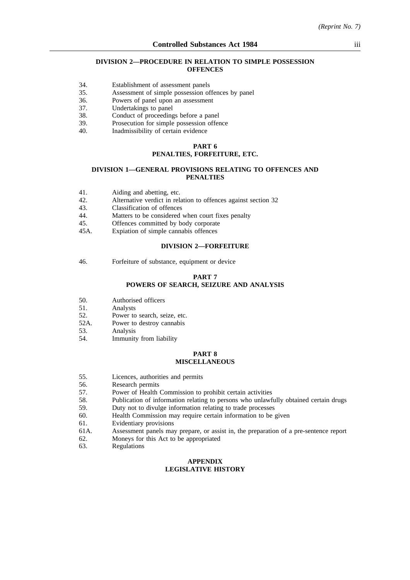### **DIVISION 2—PROCEDURE IN RELATION TO SIMPLE POSSESSION OFFENCES**

- 34. Establishment of assessment panels
- 35. Assessment of simple possession offences by panel
- 36. Powers of panel upon an assessment
- 37. Undertakings to panel
- 38. Conduct of proceedings before a panel
- 39. Prosecution for simple possession offence
- 40. Inadmissibility of certain evidence

## **PART 6**

# **PENALTIES, FORFEITURE, ETC.**

#### **DIVISION 1—GENERAL PROVISIONS RELATING TO OFFENCES AND PENALTIES**

- 41. Aiding and abetting, etc.<br>42. Alternative verdict in rel
- Alternative verdict in relation to offences against section 32
- 43. Classification of offences
- 44. Matters to be considered when court fixes penalty
- 45. Offences committed by body corporate
- 45A. Expiation of simple cannabis offences

#### **DIVISION 2—FORFEITURE**

46. Forfeiture of substance, equipment or device

#### **PART 7**

# **POWERS OF SEARCH, SEIZURE AND ANALYSIS**

- 50. Authorised officers
- 51. Analysts<br>52. Power to
- 52. Power to search, seize, etc.<br>52A. Power to destroy cannabis
- Power to destroy cannabis
- 53. Analysis
- 54. Immunity from liability

#### **PART 8 MISCELLANEOUS**

- 55. Licences, authorities and permits
- 56. Research permits
- 57. Power of Health Commission to prohibit certain activities
- 58. Publication of information relating to persons who unlawfully obtained certain drugs
- 59. Duty not to divulge information relating to trade processes
- 60. Health Commission may require certain information to be given
- 61. Evidentiary provisions
- 61A. Assessment panels may prepare, or assist in, the preparation of a pre-sentence report
- 62. Moneys for this Act to be appropriated
- 63. Regulations

### **APPENDIX LEGISLATIVE HISTORY**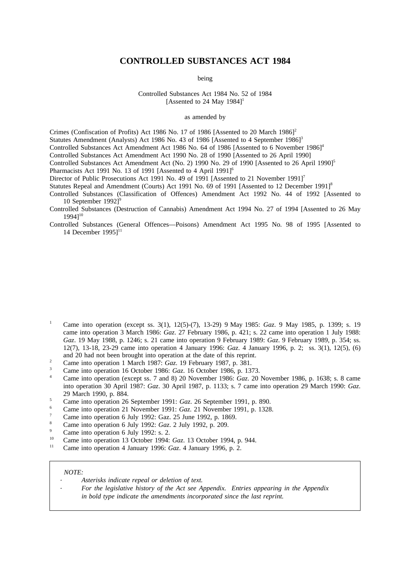# **CONTROLLED SUBSTANCES ACT 1984**

being

Controlled Substances Act 1984 No. 52 of 1984 [Assented to 24 May  $1984$ ]<sup>1</sup>

### as amended by

Crimes (Confiscation of Profits) Act 1986 No. 17 of 1986 [Assented to 20 March 1986]<sup>2</sup>

Statutes Amendment (Analysts) Act 1986 No. 43 of 1986 [Assented to 4 September 1986]<sup>3</sup>

Controlled Substances Act Amendment Act 1986 No. 64 of 1986 [Assented to 6 November 1986]<sup>4</sup>

Controlled Substances Act Amendment Act 1990 No. 28 of 1990 [Assented to 26 April 1990]

Controlled Substances Act Amendment Act (No. 2) 1990 No. 29 of 1990 [Assented to 26 April 1990]<sup>5</sup>

Pharmacists Act 1991 No. 13 of 1991 [Assented to 4 April 1991]<sup>6</sup>

Director of Public Prosecutions Act 1991 No. 49 of 1991 [Assented to 21 November 1991]<sup>7</sup>

Statutes Repeal and Amendment (Courts) Act 1991 No. 69 of 1991 [Assented to 12 December 1991]<sup>8</sup>

Controlled Substances (Classification of Offences) Amendment Act 1992 No. 44 of 1992 [Assented to 10 September 1992]<sup>9</sup>

Controlled Substances (Destruction of Cannabis) Amendment Act 1994 No. 27 of 1994 [Assented to 26 May 1994]10

Controlled Substances (General Offences—Poisons) Amendment Act 1995 No. 98 of 1995 [Assented to 14 December  $19951^{11}$ 

- <sup>1</sup> Came into operation (except ss. 3(1), 12(5)-(7), 13-29) 9 May 1985: *Gaz*. 9 May 1985, p. 1399; s. 19 came into operation 3 March 1986: *Gaz*. 27 February 1986, p. 421; s. 22 came into operation 1 July 1988: *Gaz*. 19 May 1988, p. 1246; s. 21 came into operation 9 February 1989: *Gaz*. 9 February 1989, p. 354; ss. 12(7), 13-18, 23-29 came into operation 4 January 1996: *Gaz*. 4 January 1996, p. 2; ss. 3(1), 12(5), (6) and 20 had not been brought into operation at the date of this reprint.
- <sup>2</sup> Came into operation 1 March 1987: *Gaz*. 19 February 1987, p. 381.
- <sup>3</sup> Came into operation 16 October 1986: *Gaz*. 16 October 1986, p. 1373.
- <sup>4</sup> Came into operation (except ss. 7 and 8) 20 November 1986: *Gaz*. 20 November 1986, p. 1638; s. 8 came into operation 30 April 1987: *Gaz*. 30 April 1987, p. 1133; s. 7 came into operation 29 March 1990: *Gaz*. 29 March 1990, p. 884.
- <sup>5</sup> Came into operation 26 September 1991: *Gaz*. 26 September 1991, p. 890.
- <sup>6</sup> Came into operation 21 November 1991: *Gaz*. 21 November 1991, p. 1328.
- <sup>7</sup> Came into operation 6 July 1992: Gaz. 25 June 1992, p. 1869.
- <sup>8</sup> Came into operation 6 July 1992: *Gaz*. 2 July 1992, p. 209.
- $\frac{9}{2}$  Came into operation 6 July 1992: s. 2.
- <sup>10</sup> Came into operation 13 October 1994: *Gaz*. 13 October 1994, p. 944.
- <sup>11</sup> Came into operation 4 January 1996: *Gaz*. 4 January 1996, p. 2.

#### *NOTE:*

- *Asterisks indicate repeal or deletion of text.*
	- *For the legislative history of the Act see Appendix. Entries appearing in the Appendix in bold type indicate the amendments incorporated since the last reprint.*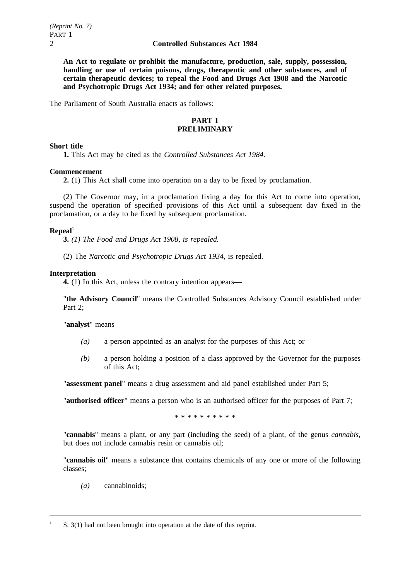**An Act to regulate or prohibit the manufacture, production, sale, supply, possession, handling or use of certain poisons, drugs, therapeutic and other substances, and of certain therapeutic devices; to repeal the Food and Drugs Act 1908 and the Narcotic and Psychotropic Drugs Act 1934; and for other related purposes.**

The Parliament of South Australia enacts as follows:

# **PART 1 PRELIMINARY**

# **Short title**

**1.** This Act may be cited as the *Controlled Substances Act 1984*.

# **Commencement**

**2.** (1) This Act shall come into operation on a day to be fixed by proclamation.

(2) The Governor may, in a proclamation fixing a day for this Act to come into operation, suspend the operation of specified provisions of this Act until a subsequent day fixed in the proclamation, or a day to be fixed by subsequent proclamation.

# $\mathbf{Repeal}^1$

**3.** *(1) The Food and Drugs Act 1908, is repealed.*

(2) The *Narcotic and Psychotropic Drugs Act 1934*, is repealed.

# **Interpretation**

**4.** (1) In this Act, unless the contrary intention appears—

"**the Advisory Council**" means the Controlled Substances Advisory Council established under Part 2;

"**analyst**" means—

- *(a)* a person appointed as an analyst for the purposes of this Act; or
- *(b)* a person holding a position of a class approved by the Governor for the purposes of this Act;

"**assessment panel**" means a drug assessment and aid panel established under Part 5;

"**authorised officer**" means a person who is an authorised officer for the purposes of Part 7;

\*\*\*\*\*\*\*\*\*\*

"**cannabis**" means a plant, or any part (including the seed) of a plant, of the genus *cannabis*, but does not include cannabis resin or cannabis oil;

"**cannabis oil**" means a substance that contains chemicals of any one or more of the following classes;

*(a)* cannabinoids;

 $S. 3(1)$  had not been brought into operation at the date of this reprint.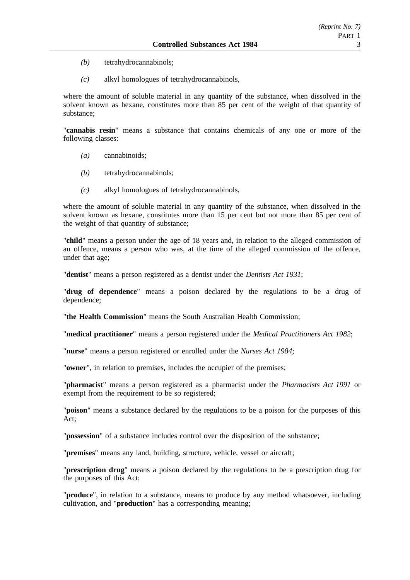- *(b)* tetrahydrocannabinols;
- *(c)* alkyl homologues of tetrahydrocannabinols,

where the amount of soluble material in any quantity of the substance, when dissolved in the solvent known as hexane, constitutes more than 85 per cent of the weight of that quantity of substance;

"**cannabis resin**" means a substance that contains chemicals of any one or more of the following classes:

- *(a)* cannabinoids;
- *(b)* tetrahydrocannabinols;
- *(c)* alkyl homologues of tetrahydrocannabinols,

where the amount of soluble material in any quantity of the substance, when dissolved in the solvent known as hexane, constitutes more than 15 per cent but not more than 85 per cent of the weight of that quantity of substance;

"**child**" means a person under the age of 18 years and, in relation to the alleged commission of an offence, means a person who was, at the time of the alleged commission of the offence, under that age;

"**dentist**" means a person registered as a dentist under the *Dentists Act 1931*;

"**drug of dependence**" means a poison declared by the regulations to be a drug of dependence;

"**the Health Commission**" means the South Australian Health Commission;

"**medical practitioner**" means a person registered under the *Medical Practitioners Act 1982*;

"**nurse**" means a person registered or enrolled under the *Nurses Act 1984*;

"**owner**", in relation to premises, includes the occupier of the premises;

"**pharmacist**" means a person registered as a pharmacist under the *Pharmacists Act 1991* or exempt from the requirement to be so registered;

"**poison**" means a substance declared by the regulations to be a poison for the purposes of this Act;

"**possession**" of a substance includes control over the disposition of the substance;

"**premises**" means any land, building, structure, vehicle, vessel or aircraft;

"**prescription drug**" means a poison declared by the regulations to be a prescription drug for the purposes of this Act;

"**produce**", in relation to a substance, means to produce by any method whatsoever, including cultivation, and "**production**" has a corresponding meaning;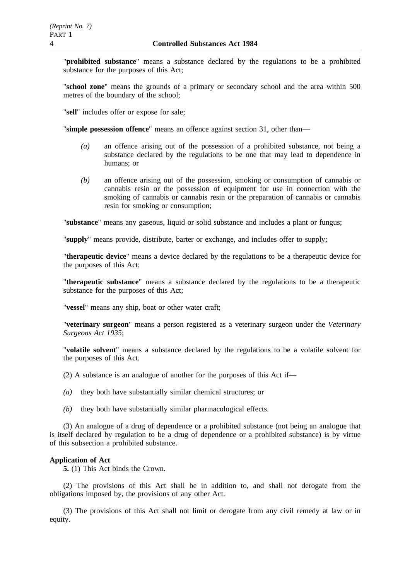"**prohibited substance**" means a substance declared by the regulations to be a prohibited substance for the purposes of this Act;

"**school zone**" means the grounds of a primary or secondary school and the area within 500 metres of the boundary of the school;

"**sell**" includes offer or expose for sale;

"**simple possession offence**" means an offence against section 31, other than—

- *(a)* an offence arising out of the possession of a prohibited substance, not being a substance declared by the regulations to be one that may lead to dependence in humans; or
- *(b)* an offence arising out of the possession, smoking or consumption of cannabis or cannabis resin or the possession of equipment for use in connection with the smoking of cannabis or cannabis resin or the preparation of cannabis or cannabis resin for smoking or consumption;

"**substance**" means any gaseous, liquid or solid substance and includes a plant or fungus;

"**supply**" means provide, distribute, barter or exchange, and includes offer to supply;

"**therapeutic device**" means a device declared by the regulations to be a therapeutic device for the purposes of this Act;

"**therapeutic substance**" means a substance declared by the regulations to be a therapeutic substance for the purposes of this Act;

"**vessel**" means any ship, boat or other water craft;

"**veterinary surgeon**" means a person registered as a veterinary surgeon under the *Veterinary Surgeons Act 1935*;

"**volatile solvent**" means a substance declared by the regulations to be a volatile solvent for the purposes of this Act.

(2) A substance is an analogue of another for the purposes of this Act if—

- *(a)* they both have substantially similar chemical structures; or
- *(b)* they both have substantially similar pharmacological effects.

(3) An analogue of a drug of dependence or a prohibited substance (not being an analogue that is itself declared by regulation to be a drug of dependence or a prohibited substance) is by virtue of this subsection a prohibited substance.

# **Application of Act**

**5.** (1) This Act binds the Crown.

(2) The provisions of this Act shall be in addition to, and shall not derogate from the obligations imposed by, the provisions of any other Act.

(3) The provisions of this Act shall not limit or derogate from any civil remedy at law or in equity.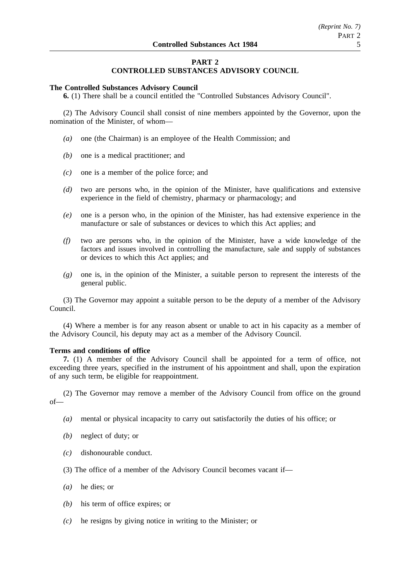# **PART 2**

# **CONTROLLED SUBSTANCES ADVISORY COUNCIL**

### **The Controlled Substances Advisory Council**

**6.** (1) There shall be a council entitled the "Controlled Substances Advisory Council".

(2) The Advisory Council shall consist of nine members appointed by the Governor, upon the nomination of the Minister, of whom—

- *(a)* one (the Chairman) is an employee of the Health Commission; and
- *(b)* one is a medical practitioner; and
- *(c)* one is a member of the police force; and
- *(d)* two are persons who, in the opinion of the Minister, have qualifications and extensive experience in the field of chemistry, pharmacy or pharmacology; and
- *(e)* one is a person who, in the opinion of the Minister, has had extensive experience in the manufacture or sale of substances or devices to which this Act applies; and
- *(f)* two are persons who, in the opinion of the Minister, have a wide knowledge of the factors and issues involved in controlling the manufacture, sale and supply of substances or devices to which this Act applies; and
- *(g)* one is, in the opinion of the Minister, a suitable person to represent the interests of the general public.

(3) The Governor may appoint a suitable person to be the deputy of a member of the Advisory Council.

(4) Where a member is for any reason absent or unable to act in his capacity as a member of the Advisory Council, his deputy may act as a member of the Advisory Council.

## **Terms and conditions of office**

**7.** (1) A member of the Advisory Council shall be appointed for a term of office, not exceeding three years, specified in the instrument of his appointment and shall, upon the expiration of any such term, be eligible for reappointment.

(2) The Governor may remove a member of the Advisory Council from office on the ground of—

- *(a)* mental or physical incapacity to carry out satisfactorily the duties of his office; or
- *(b)* neglect of duty; or
- *(c)* dishonourable conduct.
- (3) The office of a member of the Advisory Council becomes vacant if—
- *(a)* he dies; or
- *(b)* his term of office expires; or
- *(c)* he resigns by giving notice in writing to the Minister; or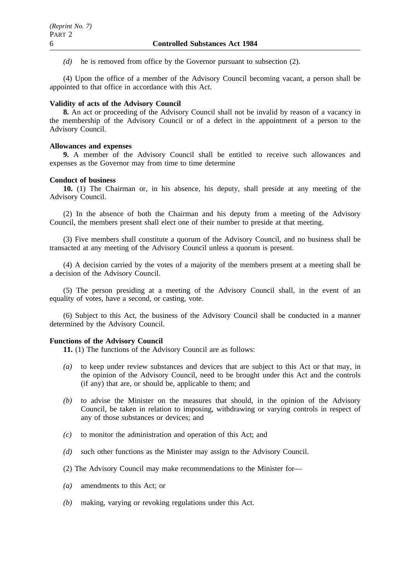*(d)* he is removed from office by the Governor pursuant to subsection (2).

(4) Upon the office of a member of the Advisory Council becoming vacant, a person shall be appointed to that office in accordance with this Act.

# **Validity of acts of the Advisory Council**

**8.** An act or proceeding of the Advisory Council shall not be invalid by reason of a vacancy in the membership of the Advisory Council or of a defect in the appointment of a person to the Advisory Council.

# **Allowances and expenses**

**9.** A member of the Advisory Council shall be entitled to receive such allowances and expenses as the Governor may from time to time determine

# **Conduct of business**

**10.** (1) The Chairman or, in his absence, his deputy, shall preside at any meeting of the Advisory Council.

(2) In the absence of both the Chairman and his deputy from a meeting of the Advisory Council, the members present shall elect one of their number to preside at that meeting.

(3) Five members shall constitute a quorum of the Advisory Council, and no business shall be transacted at any meeting of the Advisory Council unless a quorum is present.

(4) A decision carried by the votes of a majority of the members present at a meeting shall be a decision of the Advisory Council.

(5) The person presiding at a meeting of the Advisory Council shall, in the event of an equality of votes, have a second, or casting, vote.

(6) Subject to this Act, the business of the Advisory Council shall be conducted in a manner determined by the Advisory Council.

# **Functions of the Advisory Council**

**11.** (1) The functions of the Advisory Council are as follows:

- *(a)* to keep under review substances and devices that are subject to this Act or that may, in the opinion of the Advisory Council, need to be brought under this Act and the controls (if any) that are, or should be, applicable to them; and
- *(b)* to advise the Minister on the measures that should, in the opinion of the Advisory Council, be taken in relation to imposing, withdrawing or varying controls in respect of any of those substances or devices; and
- *(c)* to monitor the administration and operation of this Act; and
- *(d)* such other functions as the Minister may assign to the Advisory Council.
- (2) The Advisory Council may make recommendations to the Minister for—
- *(a)* amendments to this Act; or
- *(b)* making, varying or revoking regulations under this Act.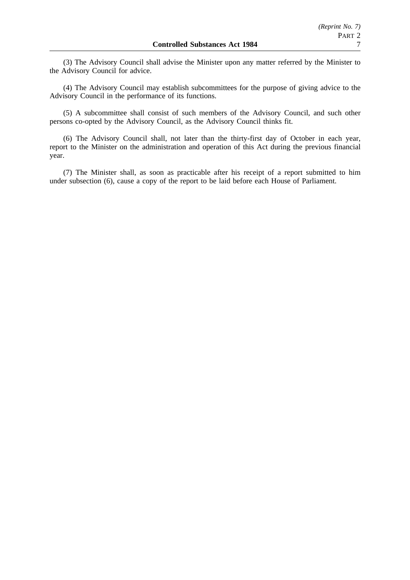(3) The Advisory Council shall advise the Minister upon any matter referred by the Minister to the Advisory Council for advice.

(4) The Advisory Council may establish subcommittees for the purpose of giving advice to the Advisory Council in the performance of its functions.

(5) A subcommittee shall consist of such members of the Advisory Council, and such other persons co-opted by the Advisory Council, as the Advisory Council thinks fit.

(6) The Advisory Council shall, not later than the thirty-first day of October in each year, report to the Minister on the administration and operation of this Act during the previous financial year.

(7) The Minister shall, as soon as practicable after his receipt of a report submitted to him under subsection (6), cause a copy of the report to be laid before each House of Parliament.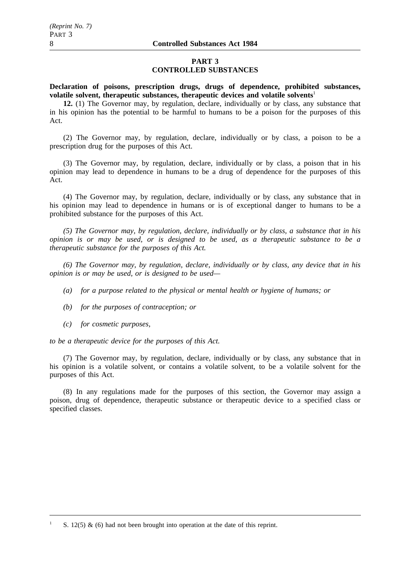# **PART 3 CONTROLLED SUBSTANCES**

**Declaration of poisons, prescription drugs, drugs of dependence, prohibited substances, volatile solvent, therapeutic substances, therapeutic devices and volatile solvents**<sup>1</sup>

**12.** (1) The Governor may, by regulation, declare, individually or by class, any substance that in his opinion has the potential to be harmful to humans to be a poison for the purposes of this Act.

(2) The Governor may, by regulation, declare, individually or by class, a poison to be a prescription drug for the purposes of this Act.

(3) The Governor may, by regulation, declare, individually or by class, a poison that in his opinion may lead to dependence in humans to be a drug of dependence for the purposes of this Act.

(4) The Governor may, by regulation, declare, individually or by class, any substance that in his opinion may lead to dependence in humans or is of exceptional danger to humans to be a prohibited substance for the purposes of this Act.

*(5) The Governor may, by regulation, declare, individually or by class, a substance that in his opinion is or may be used, or is designed to be used, as a therapeutic substance to be a therapeutic substance for the purposes of this Act.*

*(6) The Governor may, by regulation, declare, individually or by class, any device that in his opinion is or may be used, or is designed to be used—*

- *(a) for a purpose related to the physical or mental health or hygiene of humans; or*
- *(b) for the purposes of contraception; or*
- *(c) for cosmetic purposes,*

*to be a therapeutic device for the purposes of this Act.*

(7) The Governor may, by regulation, declare, individually or by class, any substance that in his opinion is a volatile solvent, or contains a volatile solvent, to be a volatile solvent for the purposes of this Act.

(8) In any regulations made for the purposes of this section, the Governor may assign a poison, drug of dependence, therapeutic substance or therapeutic device to a specified class or specified classes.

S. 12(5)  $\&$  (6) had not been brought into operation at the date of this reprint.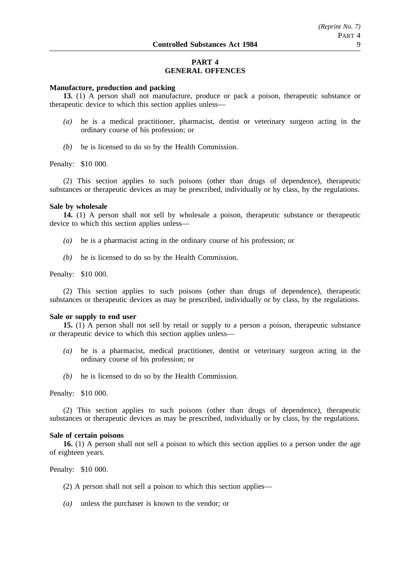# **PART 4 GENERAL OFFENCES**

## **Manufacture, production and packing**

**13.** (1) A person shall not manufacture, produce or pack a poison, therapeutic substance or therapeutic device to which this section applies unless—

- *(a)* he is a medical practitioner, pharmacist, dentist or veterinary surgeon acting in the ordinary course of his profession; or
- *(b)* he is licensed to do so by the Health Commission.

#### Penalty: \$10 000.

(2) This section applies to such poisons (other than drugs of dependence), therapeutic substances or therapeutic devices as may be prescribed, individually or by class, by the regulations.

### **Sale by wholesale**

**14.** (1) A person shall not sell by wholesale a poison, therapeutic substance or therapeutic device to which this section applies unless—

- *(a)* he is a pharmacist acting in the ordinary course of his profession; or
- *(b)* he is licensed to do so by the Health Commission.

# Penalty: \$10 000.

(2) This section applies to such poisons (other than drugs of dependence), therapeutic substances or therapeutic devices as may be prescribed, individually or by class, by the regulations.

#### **Sale or supply to end user**

**15.** (1) A person shall not sell by retail or supply to a person a poison, therapeutic substance or therapeutic device to which this section applies unless—

- *(a)* he is a pharmacist, medical practitioner, dentist or veterinary surgeon acting in the ordinary course of his profession; or
- *(b)* he is licensed to do so by the Health Commission.

# Penalty: \$10 000.

(2) This section applies to such poisons (other than drugs of dependence), therapeutic substances or therapeutic devices as may be prescribed, individually or by class, by the regulations.

#### **Sale of certain poisons**

**16.** (1) A person shall not sell a poison to which this section applies to a person under the age of eighteen years.

Penalty: \$10 000.

- (2) A person shall not sell a poison to which this section applies—
- *(a)* unless the purchaser is known to the vendor; or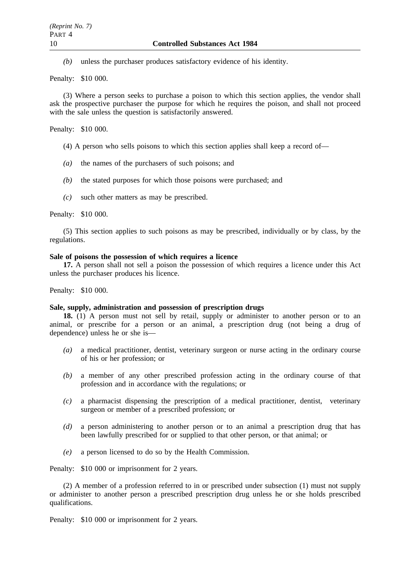*(b)* unless the purchaser produces satisfactory evidence of his identity.

Penalty: \$10 000.

(3) Where a person seeks to purchase a poison to which this section applies, the vendor shall ask the prospective purchaser the purpose for which he requires the poison, and shall not proceed with the sale unless the question is satisfactorily answered.

Penalty: \$10 000.

- (4) A person who sells poisons to which this section applies shall keep a record of—
- *(a)* the names of the purchasers of such poisons; and
- *(b)* the stated purposes for which those poisons were purchased; and
- *(c)* such other matters as may be prescribed.

Penalty: \$10 000.

(5) This section applies to such poisons as may be prescribed, individually or by class, by the regulations.

#### **Sale of poisons the possession of which requires a licence**

**17.** A person shall not sell a poison the possession of which requires a licence under this Act unless the purchaser produces his licence.

Penalty: \$10 000.

### **Sale, supply, administration and possession of prescription drugs**

**18.** (1) A person must not sell by retail, supply or administer to another person or to an animal, or prescribe for a person or an animal, a prescription drug (not being a drug of dependence) unless he or she is—

- *(a)* a medical practitioner, dentist, veterinary surgeon or nurse acting in the ordinary course of his or her profession; or
- *(b)* a member of any other prescribed profession acting in the ordinary course of that profession and in accordance with the regulations; or
- *(c)* a pharmacist dispensing the prescription of a medical practitioner, dentist, veterinary surgeon or member of a prescribed profession; or
- *(d)* a person administering to another person or to an animal a prescription drug that has been lawfully prescribed for or supplied to that other person, or that animal; or
- *(e)* a person licensed to do so by the Health Commission.

Penalty: \$10 000 or imprisonment for 2 years.

(2) A member of a profession referred to in or prescribed under subsection (1) must not supply or administer to another person a prescribed prescription drug unless he or she holds prescribed qualifications.

Penalty: \$10 000 or imprisonment for 2 years.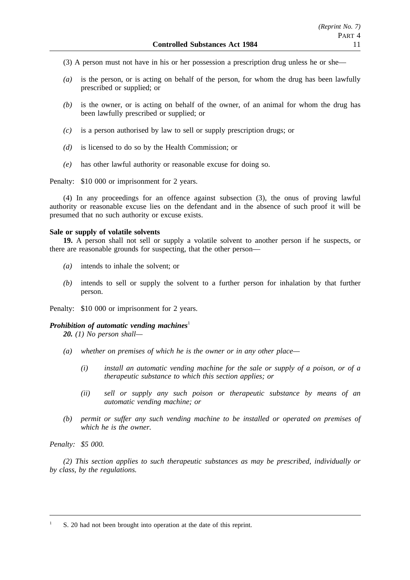- (3) A person must not have in his or her possession a prescription drug unless he or she—
- *(a)* is the person, or is acting on behalf of the person, for whom the drug has been lawfully prescribed or supplied; or
- *(b)* is the owner, or is acting on behalf of the owner, of an animal for whom the drug has been lawfully prescribed or supplied; or
- *(c)* is a person authorised by law to sell or supply prescription drugs; or
- *(d)* is licensed to do so by the Health Commission; or
- *(e)* has other lawful authority or reasonable excuse for doing so.

Penalty: \$10 000 or imprisonment for 2 years.

(4) In any proceedings for an offence against subsection (3), the onus of proving lawful authority or reasonable excuse lies on the defendant and in the absence of such proof it will be presumed that no such authority or excuse exists.

#### **Sale or supply of volatile solvents**

**19.** A person shall not sell or supply a volatile solvent to another person if he suspects, or there are reasonable grounds for suspecting, that the other person—

- *(a)* intends to inhale the solvent; or
- *(b)* intends to sell or supply the solvent to a further person for inhalation by that further person.

Penalty: \$10 000 or imprisonment for 2 years.

#### *Prohibition of automatic vending machines*<sup>1</sup>

*20. (1) No person shall—*

- *(a) whether on premises of which he is the owner or in any other place—*
	- *(i) install an automatic vending machine for the sale or supply of a poison, or of a therapeutic substance to which this section applies; or*
	- *(ii) sell or supply any such poison or therapeutic substance by means of an automatic vending machine; or*
- *(b) permit or suffer any such vending machine to be installed or operated on premises of which he is the owner.*

*Penalty: \$5 000.*

*(2) This section applies to such therapeutic substances as may be prescribed, individually or by class, by the regulations.*

<sup>1</sup> S. 20 had not been brought into operation at the date of this reprint.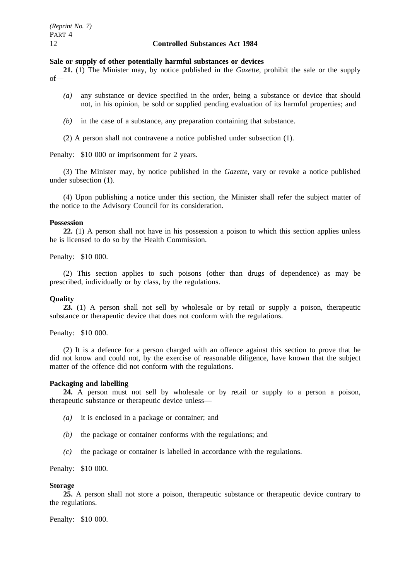#### **Sale or supply of other potentially harmful substances or devices**

**21.** (1) The Minister may, by notice published in the *Gazette*, prohibit the sale or the supply of—

- *(a)* any substance or device specified in the order, being a substance or device that should not, in his opinion, be sold or supplied pending evaluation of its harmful properties; and
- *(b)* in the case of a substance, any preparation containing that substance.
- (2) A person shall not contravene a notice published under subsection (1).

Penalty: \$10 000 or imprisonment for 2 years.

(3) The Minister may, by notice published in the *Gazette*, vary or revoke a notice published under subsection (1).

(4) Upon publishing a notice under this section, the Minister shall refer the subject matter of the notice to the Advisory Council for its consideration.

### **Possession**

**22.** (1) A person shall not have in his possession a poison to which this section applies unless he is licensed to do so by the Health Commission.

Penalty: \$10 000.

(2) This section applies to such poisons (other than drugs of dependence) as may be prescribed, individually or by class, by the regulations.

## **Quality**

**23.** (1) A person shall not sell by wholesale or by retail or supply a poison, therapeutic substance or therapeutic device that does not conform with the regulations.

Penalty: \$10 000.

(2) It is a defence for a person charged with an offence against this section to prove that he did not know and could not, by the exercise of reasonable diligence, have known that the subject matter of the offence did not conform with the regulations.

### **Packaging and labelling**

**24.** A person must not sell by wholesale or by retail or supply to a person a poison, therapeutic substance or therapeutic device unless—

- *(a)* it is enclosed in a package or container; and
- *(b)* the package or container conforms with the regulations; and
- *(c)* the package or container is labelled in accordance with the regulations.

Penalty: \$10 000.

#### **Storage**

**25.** A person shall not store a poison, therapeutic substance or therapeutic device contrary to the regulations.

Penalty: \$10 000.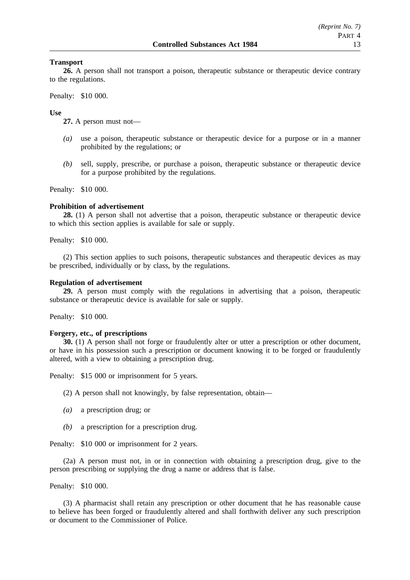### **Transport**

**26.** A person shall not transport a poison, therapeutic substance or therapeutic device contrary to the regulations.

Penalty: \$10 000.

### **Use**

**27.** A person must not—

- *(a)* use a poison, therapeutic substance or therapeutic device for a purpose or in a manner prohibited by the regulations; or
- *(b)* sell, supply, prescribe, or purchase a poison, therapeutic substance or therapeutic device for a purpose prohibited by the regulations.

Penalty: \$10 000.

### **Prohibition of advertisement**

**28.** (1) A person shall not advertise that a poison, therapeutic substance or therapeutic device to which this section applies is available for sale or supply.

Penalty: \$10 000.

(2) This section applies to such poisons, therapeutic substances and therapeutic devices as may be prescribed, individually or by class, by the regulations.

# **Regulation of advertisement**

**29.** A person must comply with the regulations in advertising that a poison, therapeutic substance or therapeutic device is available for sale or supply.

Penalty: \$10 000.

### **Forgery, etc., of prescriptions**

**30.** (1) A person shall not forge or fraudulently alter or utter a prescription or other document, or have in his possession such a prescription or document knowing it to be forged or fraudulently altered, with a view to obtaining a prescription drug.

Penalty: \$15 000 or imprisonment for 5 years.

(2) A person shall not knowingly, by false representation, obtain—

- *(a)* a prescription drug; or
- *(b)* a prescription for a prescription drug.

Penalty: \$10 000 or imprisonment for 2 years.

(2a) A person must not, in or in connection with obtaining a prescription drug, give to the person prescribing or supplying the drug a name or address that is false.

Penalty: \$10 000.

(3) A pharmacist shall retain any prescription or other document that he has reasonable cause to believe has been forged or fraudulently altered and shall forthwith deliver any such prescription or document to the Commissioner of Police.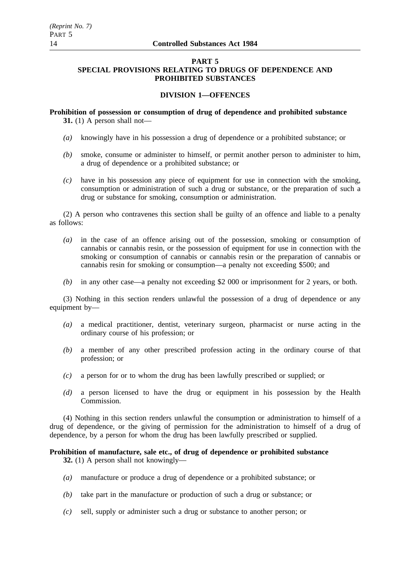## **PART 5 SPECIAL PROVISIONS RELATING TO DRUGS OF DEPENDENCE AND PROHIBITED SUBSTANCES**

# **DIVISION 1—OFFENCES**

**Prohibition of possession or consumption of drug of dependence and prohibited substance 31.** (1) A person shall not—

- *(a)* knowingly have in his possession a drug of dependence or a prohibited substance; or
- *(b)* smoke, consume or administer to himself, or permit another person to administer to him, a drug of dependence or a prohibited substance; or
- *(c)* have in his possession any piece of equipment for use in connection with the smoking, consumption or administration of such a drug or substance, or the preparation of such a drug or substance for smoking, consumption or administration.

(2) A person who contravenes this section shall be guilty of an offence and liable to a penalty as follows:

- *(a)* in the case of an offence arising out of the possession, smoking or consumption of cannabis or cannabis resin, or the possession of equipment for use in connection with the smoking or consumption of cannabis or cannabis resin or the preparation of cannabis or cannabis resin for smoking or consumption—a penalty not exceeding \$500; and
- *(b)* in any other case—a penalty not exceeding \$2 000 or imprisonment for 2 years, or both.

(3) Nothing in this section renders unlawful the possession of a drug of dependence or any equipment by—

- *(a)* a medical practitioner, dentist, veterinary surgeon, pharmacist or nurse acting in the ordinary course of his profession; or
- *(b)* a member of any other prescribed profession acting in the ordinary course of that profession; or
- *(c)* a person for or to whom the drug has been lawfully prescribed or supplied; or
- *(d)* a person licensed to have the drug or equipment in his possession by the Health Commission.

(4) Nothing in this section renders unlawful the consumption or administration to himself of a drug of dependence, or the giving of permission for the administration to himself of a drug of dependence, by a person for whom the drug has been lawfully prescribed or supplied.

### **Prohibition of manufacture, sale etc., of drug of dependence or prohibited substance 32.** (1) A person shall not knowingly—

- *(a)* manufacture or produce a drug of dependence or a prohibited substance; or
- *(b)* take part in the manufacture or production of such a drug or substance; or
- *(c)* sell, supply or administer such a drug or substance to another person; or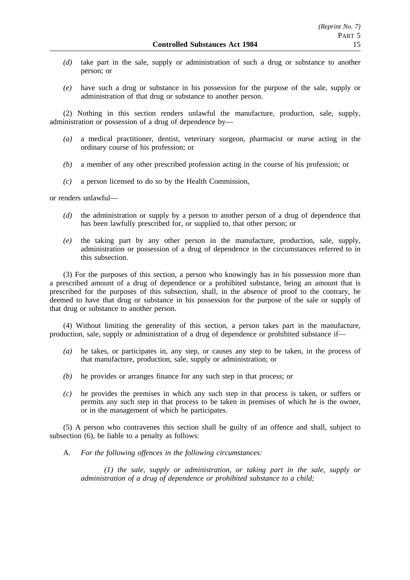- *(d)* take part in the sale, supply or administration of such a drug or substance to another person; or
- *(e)* have such a drug or substance in his possession for the purpose of the sale, supply or administration of that drug or substance to another person.

(2) Nothing in this section renders unlawful the manufacture, production, sale, supply, administration or possession of a drug of dependence by—

- *(a)* a medical practitioner, dentist, veterinary surgeon, pharmacist or nurse acting in the ordinary course of his profession; or
- *(b)* a member of any other prescribed profession acting in the course of his profession; or
- *(c)* a person licensed to do so by the Health Commission,

or renders unlawful—

- *(d)* the administration or supply by a person to another person of a drug of dependence that has been lawfully prescribed for, or supplied to, that other person; or
- *(e)* the taking part by any other person in the manufacture, production, sale, supply, administration or possession of a drug of dependence in the circumstances referred to in this subsection.

(3) For the purposes of this section, a person who knowingly has in his possession more than a prescribed amount of a drug of dependence or a prohibited substance, being an amount that is prescribed for the purposes of this subsection, shall, in the absence of proof to the contrary, be deemed to have that drug or substance in his possession for the purpose of the sale or supply of that drug or substance to another person.

(4) Without limiting the generality of this section, a person takes part in the manufacture, production, sale, supply or administration of a drug of dependence or prohibited substance if—

- *(a)* he takes, or participates in, any step, or causes any step to be taken, in the process of that manufacture, production, sale, supply or administration; or
- *(b)* he provides or arranges finance for any such step in that process; or
- *(c)* he provides the premises in which any such step in that process is taken, or suffers or permits any such step in that process to be taken in premises of which he is the owner, or in the management of which he participates.

(5) A person who contravenes this section shall be guilty of an offence and shall, subject to subsection (6), be liable to a penalty as follows:

A. *For the following offences in the following circumstances:*

*(1) the sale, supply or administration, or taking part in the sale, supply or administration of a drug of dependence or prohibited substance to a child;*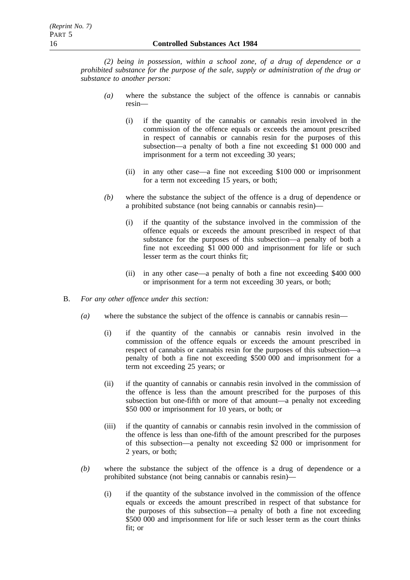*(2) being in possession, within a school zone, of a drug of dependence or a prohibited substance for the purpose of the sale, supply or administration of the drug or substance to another person:*

- *(a)* where the substance the subject of the offence is cannabis or cannabis resin—
	- (i) if the quantity of the cannabis or cannabis resin involved in the commission of the offence equals or exceeds the amount prescribed in respect of cannabis or cannabis resin for the purposes of this subsection—a penalty of both a fine not exceeding \$1 000 000 and imprisonment for a term not exceeding 30 years;
	- (ii) in any other case—a fine not exceeding \$100 000 or imprisonment for a term not exceeding 15 years, or both;
- *(b)* where the substance the subject of the offence is a drug of dependence or a prohibited substance (not being cannabis or cannabis resin)—
	- (i) if the quantity of the substance involved in the commission of the offence equals or exceeds the amount prescribed in respect of that substance for the purposes of this subsection—a penalty of both a fine not exceeding \$1 000 000 and imprisonment for life or such lesser term as the court thinks fit;
	- (ii) in any other case—a penalty of both a fine not exceeding \$400 000 or imprisonment for a term not exceeding 30 years, or both;
- B. *For any other offence under this section:*
	- *(a)* where the substance the subject of the offence is cannabis or cannabis resin—
		- (i) if the quantity of the cannabis or cannabis resin involved in the commission of the offence equals or exceeds the amount prescribed in respect of cannabis or cannabis resin for the purposes of this subsection—a penalty of both a fine not exceeding \$500 000 and imprisonment for a term not exceeding 25 years; or
		- (ii) if the quantity of cannabis or cannabis resin involved in the commission of the offence is less than the amount prescribed for the purposes of this subsection but one-fifth or more of that amount—a penalty not exceeding \$50 000 or imprisonment for 10 years, or both; or
		- (iii) if the quantity of cannabis or cannabis resin involved in the commission of the offence is less than one-fifth of the amount prescribed for the purposes of this subsection—a penalty not exceeding \$2 000 or imprisonment for 2 years, or both;
	- *(b)* where the substance the subject of the offence is a drug of dependence or a prohibited substance (not being cannabis or cannabis resin)—
		- (i) if the quantity of the substance involved in the commission of the offence equals or exceeds the amount prescribed in respect of that substance for the purposes of this subsection—a penalty of both a fine not exceeding \$500 000 and imprisonment for life or such lesser term as the court thinks fit; or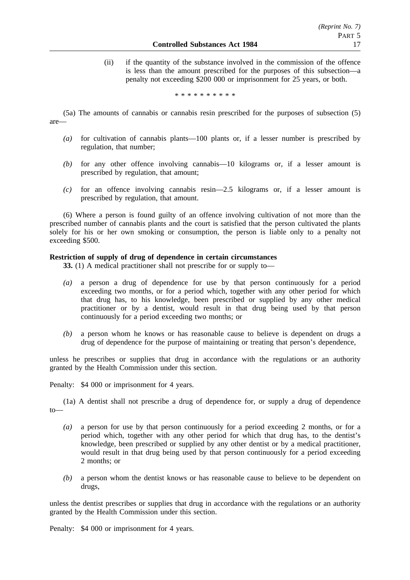(ii) if the quantity of the substance involved in the commission of the offence is less than the amount prescribed for the purposes of this subsection—a penalty not exceeding \$200 000 or imprisonment for 25 years, or both.

\*\*\*\*\*\*\*\*\*\*

- (5a) The amounts of cannabis or cannabis resin prescribed for the purposes of subsection (5) are—
	- *(a)* for cultivation of cannabis plants—100 plants or, if a lesser number is prescribed by regulation, that number;
	- *(b)* for any other offence involving cannabis—10 kilograms or, if a lesser amount is prescribed by regulation, that amount;
	- *(c)* for an offence involving cannabis resin—2.5 kilograms or, if a lesser amount is prescribed by regulation, that amount.

(6) Where a person is found guilty of an offence involving cultivation of not more than the prescribed number of cannabis plants and the court is satisfied that the person cultivated the plants solely for his or her own smoking or consumption, the person is liable only to a penalty not exceeding \$500.

### **Restriction of supply of drug of dependence in certain circumstances**

**33.** (1) A medical practitioner shall not prescribe for or supply to—

- *(a)* a person a drug of dependence for use by that person continuously for a period exceeding two months, or for a period which, together with any other period for which that drug has, to his knowledge, been prescribed or supplied by any other medical practitioner or by a dentist, would result in that drug being used by that person continuously for a period exceeding two months; or
- *(b)* a person whom he knows or has reasonable cause to believe is dependent on drugs a drug of dependence for the purpose of maintaining or treating that person's dependence,

unless he prescribes or supplies that drug in accordance with the regulations or an authority granted by the Health Commission under this section.

Penalty: \$4 000 or imprisonment for 4 years.

(1a) A dentist shall not prescribe a drug of dependence for, or supply a drug of dependence to—

- *(a)* a person for use by that person continuously for a period exceeding 2 months, or for a period which, together with any other period for which that drug has, to the dentist's knowledge, been prescribed or supplied by any other dentist or by a medical practitioner, would result in that drug being used by that person continuously for a period exceeding 2 months; or
- *(b)* a person whom the dentist knows or has reasonable cause to believe to be dependent on drugs,

unless the dentist prescribes or supplies that drug in accordance with the regulations or an authority granted by the Health Commission under this section.

Penalty: \$4 000 or imprisonment for 4 years.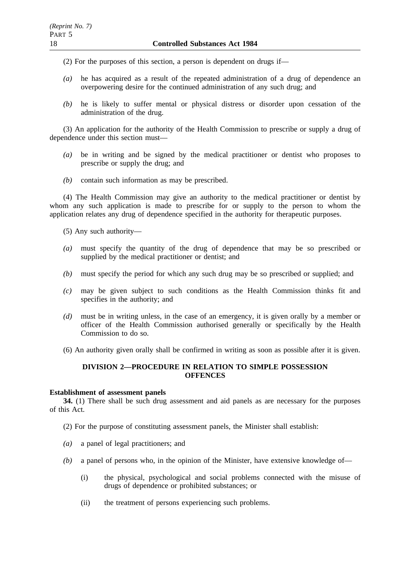(2) For the purposes of this section, a person is dependent on drugs if—

- *(a)* he has acquired as a result of the repeated administration of a drug of dependence an overpowering desire for the continued administration of any such drug; and
- *(b)* he is likely to suffer mental or physical distress or disorder upon cessation of the administration of the drug.

(3) An application for the authority of the Health Commission to prescribe or supply a drug of dependence under this section must—

- *(a)* be in writing and be signed by the medical practitioner or dentist who proposes to prescribe or supply the drug; and
- *(b)* contain such information as may be prescribed.

(4) The Health Commission may give an authority to the medical practitioner or dentist by whom any such application is made to prescribe for or supply to the person to whom the application relates any drug of dependence specified in the authority for therapeutic purposes.

(5) Any such authority—

- *(a)* must specify the quantity of the drug of dependence that may be so prescribed or supplied by the medical practitioner or dentist; and
- *(b)* must specify the period for which any such drug may be so prescribed or supplied; and
- *(c)* may be given subject to such conditions as the Health Commission thinks fit and specifies in the authority; and
- *(d)* must be in writing unless, in the case of an emergency, it is given orally by a member or officer of the Health Commission authorised generally or specifically by the Health Commission to do so.
- (6) An authority given orally shall be confirmed in writing as soon as possible after it is given.

# **DIVISION 2—PROCEDURE IN RELATION TO SIMPLE POSSESSION OFFENCES**

### **Establishment of assessment panels**

**34.** (1) There shall be such drug assessment and aid panels as are necessary for the purposes of this Act.

- (2) For the purpose of constituting assessment panels, the Minister shall establish:
- *(a)* a panel of legal practitioners; and
- *(b)* a panel of persons who, in the opinion of the Minister, have extensive knowledge of—
	- (i) the physical, psychological and social problems connected with the misuse of drugs of dependence or prohibited substances; or
	- (ii) the treatment of persons experiencing such problems.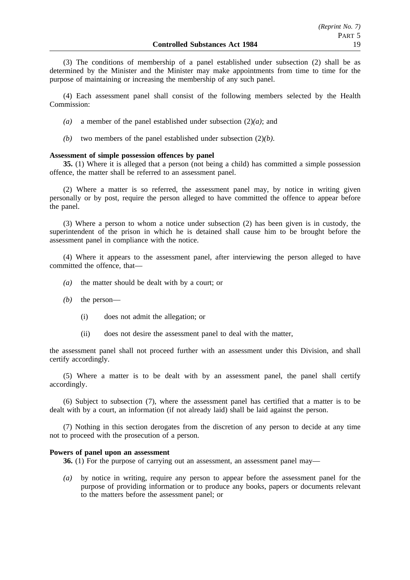(3) The conditions of membership of a panel established under subsection (2) shall be as determined by the Minister and the Minister may make appointments from time to time for the purpose of maintaining or increasing the membership of any such panel.

(4) Each assessment panel shall consist of the following members selected by the Health Commission:

- *(a)* a member of the panel established under subsection (2)*(a)*; and
- *(b)* two members of the panel established under subsection (2)*(b)*.

### **Assessment of simple possession offences by panel**

**35.** (1) Where it is alleged that a person (not being a child) has committed a simple possession offence, the matter shall be referred to an assessment panel.

(2) Where a matter is so referred, the assessment panel may, by notice in writing given personally or by post, require the person alleged to have committed the offence to appear before the panel.

(3) Where a person to whom a notice under subsection (2) has been given is in custody, the superintendent of the prison in which he is detained shall cause him to be brought before the assessment panel in compliance with the notice.

(4) Where it appears to the assessment panel, after interviewing the person alleged to have committed the offence, that—

- *(a)* the matter should be dealt with by a court; or
- *(b)* the person—
	- (i) does not admit the allegation; or
	- (ii) does not desire the assessment panel to deal with the matter,

the assessment panel shall not proceed further with an assessment under this Division, and shall certify accordingly.

(5) Where a matter is to be dealt with by an assessment panel, the panel shall certify accordingly.

(6) Subject to subsection (7), where the assessment panel has certified that a matter is to be dealt with by a court, an information (if not already laid) shall be laid against the person.

(7) Nothing in this section derogates from the discretion of any person to decide at any time not to proceed with the prosecution of a person.

#### **Powers of panel upon an assessment**

**36.** (1) For the purpose of carrying out an assessment, an assessment panel may—

*(a)* by notice in writing, require any person to appear before the assessment panel for the purpose of providing information or to produce any books, papers or documents relevant to the matters before the assessment panel; or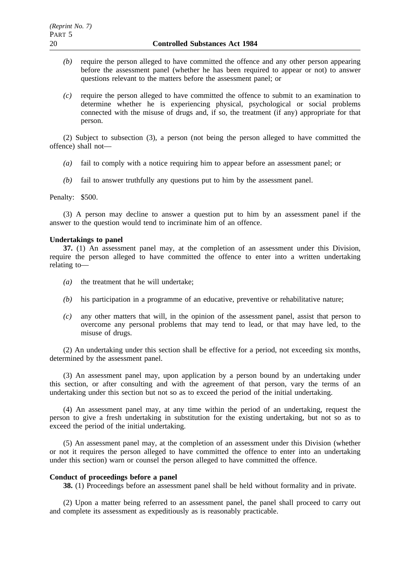- *(b)* require the person alleged to have committed the offence and any other person appearing before the assessment panel (whether he has been required to appear or not) to answer questions relevant to the matters before the assessment panel; or
- *(c)* require the person alleged to have committed the offence to submit to an examination to determine whether he is experiencing physical, psychological or social problems connected with the misuse of drugs and, if so, the treatment (if any) appropriate for that person.

(2) Subject to subsection (3), a person (not being the person alleged to have committed the offence) shall not—

- *(a)* fail to comply with a notice requiring him to appear before an assessment panel; or
- *(b)* fail to answer truthfully any questions put to him by the assessment panel.

Penalty: \$500.

(3) A person may decline to answer a question put to him by an assessment panel if the answer to the question would tend to incriminate him of an offence.

#### **Undertakings to panel**

**37.** (1) An assessment panel may, at the completion of an assessment under this Division, require the person alleged to have committed the offence to enter into a written undertaking relating to—

- *(a)* the treatment that he will undertake;
- *(b)* his participation in a programme of an educative, preventive or rehabilitative nature;
- *(c)* any other matters that will, in the opinion of the assessment panel, assist that person to overcome any personal problems that may tend to lead, or that may have led, to the misuse of drugs.

(2) An undertaking under this section shall be effective for a period, not exceeding six months, determined by the assessment panel.

(3) An assessment panel may, upon application by a person bound by an undertaking under this section, or after consulting and with the agreement of that person, vary the terms of an undertaking under this section but not so as to exceed the period of the initial undertaking.

(4) An assessment panel may, at any time within the period of an undertaking, request the person to give a fresh undertaking in substitution for the existing undertaking, but not so as to exceed the period of the initial undertaking.

(5) An assessment panel may, at the completion of an assessment under this Division (whether or not it requires the person alleged to have committed the offence to enter into an undertaking under this section) warn or counsel the person alleged to have committed the offence.

#### **Conduct of proceedings before a panel**

**38.** (1) Proceedings before an assessment panel shall be held without formality and in private.

(2) Upon a matter being referred to an assessment panel, the panel shall proceed to carry out and complete its assessment as expeditiously as is reasonably practicable.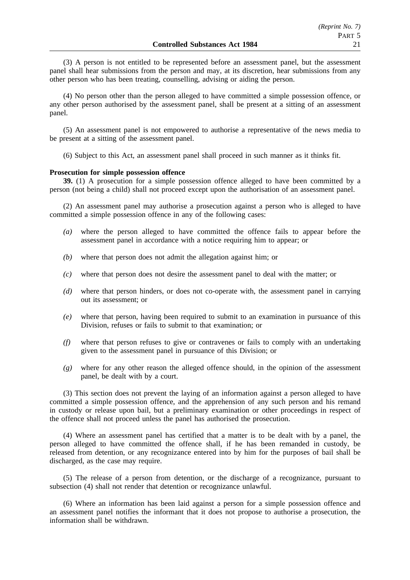(3) A person is not entitled to be represented before an assessment panel, but the assessment panel shall hear submissions from the person and may, at its discretion, hear submissions from any other person who has been treating, counselling, advising or aiding the person.

(4) No person other than the person alleged to have committed a simple possession offence, or any other person authorised by the assessment panel, shall be present at a sitting of an assessment panel.

(5) An assessment panel is not empowered to authorise a representative of the news media to be present at a sitting of the assessment panel.

(6) Subject to this Act, an assessment panel shall proceed in such manner as it thinks fit.

#### **Prosecution for simple possession offence**

**39.** (1) A prosecution for a simple possession offence alleged to have been committed by a person (not being a child) shall not proceed except upon the authorisation of an assessment panel.

(2) An assessment panel may authorise a prosecution against a person who is alleged to have committed a simple possession offence in any of the following cases:

- *(a)* where the person alleged to have committed the offence fails to appear before the assessment panel in accordance with a notice requiring him to appear; or
- *(b)* where that person does not admit the allegation against him; or
- *(c)* where that person does not desire the assessment panel to deal with the matter; or
- *(d)* where that person hinders, or does not co-operate with, the assessment panel in carrying out its assessment; or
- *(e)* where that person, having been required to submit to an examination in pursuance of this Division, refuses or fails to submit to that examination; or
- *(f)* where that person refuses to give or contravenes or fails to comply with an undertaking given to the assessment panel in pursuance of this Division; or
- *(g)* where for any other reason the alleged offence should, in the opinion of the assessment panel, be dealt with by a court.

(3) This section does not prevent the laying of an information against a person alleged to have committed a simple possession offence, and the apprehension of any such person and his remand in custody or release upon bail, but a preliminary examination or other proceedings in respect of the offence shall not proceed unless the panel has authorised the prosecution.

(4) Where an assessment panel has certified that a matter is to be dealt with by a panel, the person alleged to have committed the offence shall, if he has been remanded in custody, be released from detention, or any recognizance entered into by him for the purposes of bail shall be discharged, as the case may require.

(5) The release of a person from detention, or the discharge of a recognizance, pursuant to subsection (4) shall not render that detention or recognizance unlawful.

(6) Where an information has been laid against a person for a simple possession offence and an assessment panel notifies the informant that it does not propose to authorise a prosecution, the information shall be withdrawn.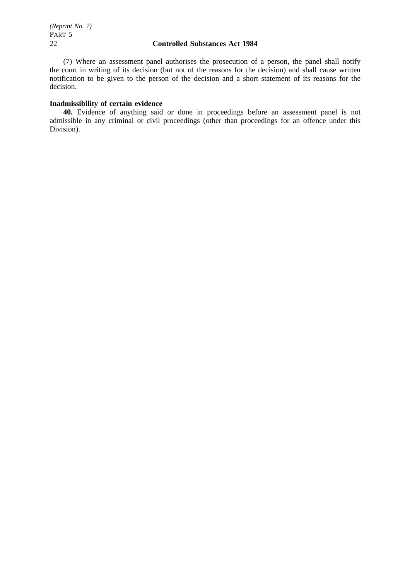(7) Where an assessment panel authorises the prosecution of a person, the panel shall notify the court in writing of its decision (but not of the reasons for the decision) and shall cause written notification to be given to the person of the decision and a short statement of its reasons for the decision.

# **Inadmissibility of certain evidence**

**40.** Evidence of anything said or done in proceedings before an assessment panel is not admissible in any criminal or civil proceedings (other than proceedings for an offence under this Division).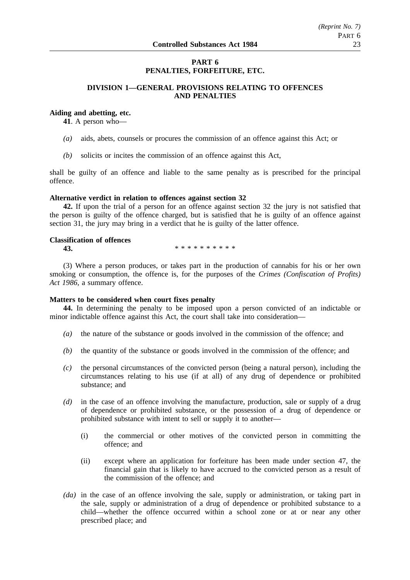# **PART 6 PENALTIES, FORFEITURE, ETC.**

# **DIVISION 1—GENERAL PROVISIONS RELATING TO OFFENCES AND PENALTIES**

# **Aiding and abetting, etc.**

**41**. A person who—

- *(a)* aids, abets, counsels or procures the commission of an offence against this Act; or
- *(b)* solicits or incites the commission of an offence against this Act,

shall be guilty of an offence and liable to the same penalty as is prescribed for the principal offence.

#### **Alternative verdict in relation to offences against section 32**

**42.** If upon the trial of a person for an offence against section 32 the jury is not satisfied that the person is guilty of the offence charged, but is satisfied that he is guilty of an offence against section 31, the jury may bring in a verdict that he is guilty of the latter offence.

# **Classification of offences**

**43.** \*\*\*\*\*\*\*\*\*\*\*

(3) Where a person produces, or takes part in the production of cannabis for his or her own smoking or consumption, the offence is, for the purposes of the *Crimes (Confiscation of Profits) Act 1986*, a summary offence.

### **Matters to be considered when court fixes penalty**

**44.** In determining the penalty to be imposed upon a person convicted of an indictable or minor indictable offence against this Act, the court shall take into consideration—

- *(a)* the nature of the substance or goods involved in the commission of the offence; and
- *(b)* the quantity of the substance or goods involved in the commission of the offence; and
- *(c)* the personal circumstances of the convicted person (being a natural person), including the circumstances relating to his use (if at all) of any drug of dependence or prohibited substance; and
- *(d)* in the case of an offence involving the manufacture, production, sale or supply of a drug of dependence or prohibited substance, or the possession of a drug of dependence or prohibited substance with intent to sell or supply it to another—
	- (i) the commercial or other motives of the convicted person in committing the offence; and
	- (ii) except where an application for forfeiture has been made under section 47, the financial gain that is likely to have accrued to the convicted person as a result of the commission of the offence; and
- *(da)* in the case of an offence involving the sale, supply or administration, or taking part in the sale, supply or administration of a drug of dependence or prohibited substance to a child—whether the offence occurred within a school zone or at or near any other prescribed place; and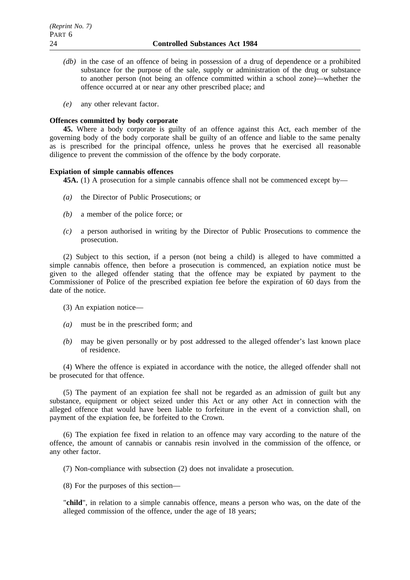- *(db)* in the case of an offence of being in possession of a drug of dependence or a prohibited substance for the purpose of the sale, supply or administration of the drug or substance to another person (not being an offence committed within a school zone)—whether the offence occurred at or near any other prescribed place; and
- *(e)* any other relevant factor.

#### **Offences committed by body corporate**

**45.** Where a body corporate is guilty of an offence against this Act, each member of the governing body of the body corporate shall be guilty of an offence and liable to the same penalty as is prescribed for the principal offence, unless he proves that he exercised all reasonable diligence to prevent the commission of the offence by the body corporate.

### **Expiation of simple cannabis offences**

**45A.** (1) A prosecution for a simple cannabis offence shall not be commenced except by—

- *(a)* the Director of Public Prosecutions; or
- *(b)* a member of the police force; or
- *(c)* a person authorised in writing by the Director of Public Prosecutions to commence the prosecution.

(2) Subject to this section, if a person (not being a child) is alleged to have committed a simple cannabis offence, then before a prosecution is commenced, an expiation notice must be given to the alleged offender stating that the offence may be expiated by payment to the Commissioner of Police of the prescribed expiation fee before the expiration of 60 days from the date of the notice.

(3) An expiation notice—

- *(a)* must be in the prescribed form; and
- *(b)* may be given personally or by post addressed to the alleged offender's last known place of residence.

(4) Where the offence is expiated in accordance with the notice, the alleged offender shall not be prosecuted for that offence.

(5) The payment of an expiation fee shall not be regarded as an admission of guilt but any substance, equipment or object seized under this Act or any other Act in connection with the alleged offence that would have been liable to forfeiture in the event of a conviction shall, on payment of the expiation fee, be forfeited to the Crown.

(6) The expiation fee fixed in relation to an offence may vary according to the nature of the offence, the amount of cannabis or cannabis resin involved in the commission of the offence, or any other factor.

(7) Non-compliance with subsection (2) does not invalidate a prosecution.

(8) For the purposes of this section—

"**child**", in relation to a simple cannabis offence, means a person who was, on the date of the alleged commission of the offence, under the age of 18 years;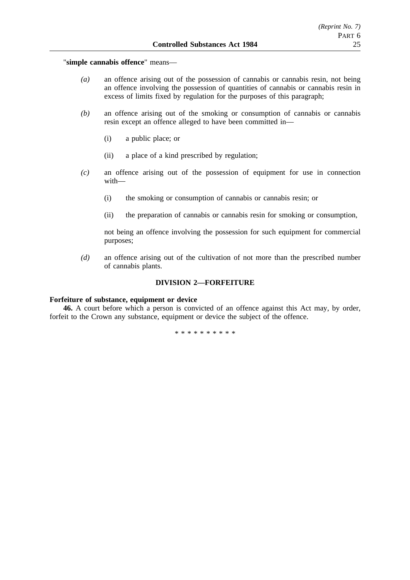"**simple cannabis offence**" means—

- *(a)* an offence arising out of the possession of cannabis or cannabis resin, not being an offence involving the possession of quantities of cannabis or cannabis resin in excess of limits fixed by regulation for the purposes of this paragraph;
- *(b)* an offence arising out of the smoking or consumption of cannabis or cannabis resin except an offence alleged to have been committed in—
	- (i) a public place; or
	- (ii) a place of a kind prescribed by regulation;
- *(c)* an offence arising out of the possession of equipment for use in connection with—
	- (i) the smoking or consumption of cannabis or cannabis resin; or
	- (ii) the preparation of cannabis or cannabis resin for smoking or consumption,

not being an offence involving the possession for such equipment for commercial purposes;

*(d)* an offence arising out of the cultivation of not more than the prescribed number of cannabis plants.

# **DIVISION 2—FORFEITURE**

### **Forfeiture of substance, equipment or device**

**46.** A court before which a person is convicted of an offence against this Act may, by order, forfeit to the Crown any substance, equipment or device the subject of the offence.

\*\*\*\*\*\*\*\*\*\*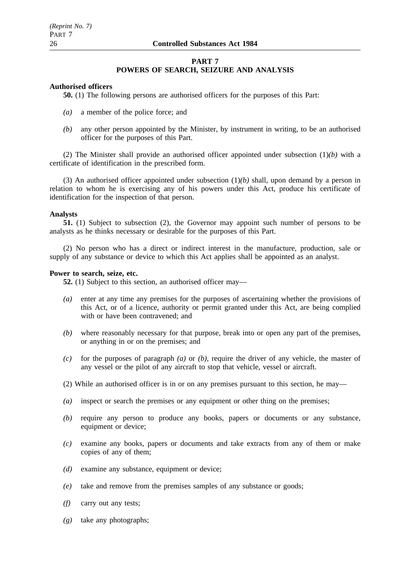# **PART 7 POWERS OF SEARCH, SEIZURE AND ANALYSIS**

## **Authorised officers**

**50.** (1) The following persons are authorised officers for the purposes of this Part:

- *(a)* a member of the police force; and
- *(b)* any other person appointed by the Minister, by instrument in writing, to be an authorised officer for the purposes of this Part.

(2) The Minister shall provide an authorised officer appointed under subsection (1)*(b)* with a certificate of identification in the prescribed form.

(3) An authorised officer appointed under subsection (1)*(b)* shall, upon demand by a person in relation to whom he is exercising any of his powers under this Act, produce his certificate of identification for the inspection of that person.

### **Analysts**

**51.** (1) Subject to subsection (2), the Governor may appoint such number of persons to be analysts as he thinks necessary or desirable for the purposes of this Part.

(2) No person who has a direct or indirect interest in the manufacture, production, sale or supply of any substance or device to which this Act applies shall be appointed as an analyst.

# **Power to search, seize, etc.**

**52.** (1) Subject to this section, an authorised officer may—

- *(a)* enter at any time any premises for the purposes of ascertaining whether the provisions of this Act, or of a licence, authority or permit granted under this Act, are being complied with or have been contravened; and
- *(b)* where reasonably necessary for that purpose, break into or open any part of the premises, or anything in or on the premises; and
- *(c)* for the purposes of paragraph *(a)* or *(b)*, require the driver of any vehicle, the master of any vessel or the pilot of any aircraft to stop that vehicle, vessel or aircraft.
- (2) While an authorised officer is in or on any premises pursuant to this section, he may—
- *(a)* inspect or search the premises or any equipment or other thing on the premises;
- *(b)* require any person to produce any books, papers or documents or any substance, equipment or device;
- *(c)* examine any books, papers or documents and take extracts from any of them or make copies of any of them;
- *(d)* examine any substance, equipment or device;
- *(e)* take and remove from the premises samples of any substance or goods;
- *(f)* carry out any tests;
- *(g)* take any photographs;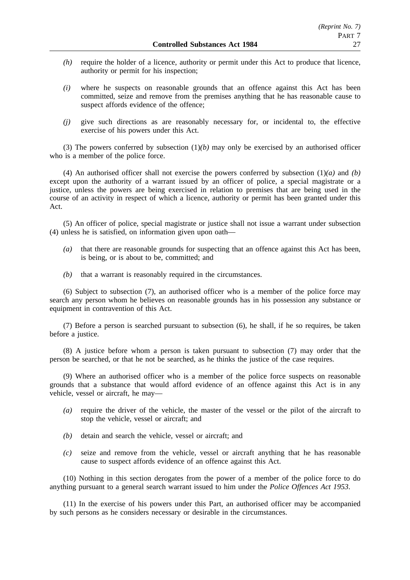- *(h)* require the holder of a licence, authority or permit under this Act to produce that licence, authority or permit for his inspection;
- *(i)* where he suspects on reasonable grounds that an offence against this Act has been committed, seize and remove from the premises anything that he has reasonable cause to suspect affords evidence of the offence;
- *(j)* give such directions as are reasonably necessary for, or incidental to, the effective exercise of his powers under this Act.

(3) The powers conferred by subsection (1)*(b)* may only be exercised by an authorised officer who is a member of the police force.

(4) An authorised officer shall not exercise the powers conferred by subsection (1)*(a)* and *(b)* except upon the authority of a warrant issued by an officer of police, a special magistrate or a justice, unless the powers are being exercised in relation to premises that are being used in the course of an activity in respect of which a licence, authority or permit has been granted under this Act.

(5) An officer of police, special magistrate or justice shall not issue a warrant under subsection (4) unless he is satisfied, on information given upon oath—

- *(a)* that there are reasonable grounds for suspecting that an offence against this Act has been, is being, or is about to be, committed; and
- *(b)* that a warrant is reasonably required in the circumstances.

(6) Subject to subsection (7), an authorised officer who is a member of the police force may search any person whom he believes on reasonable grounds has in his possession any substance or equipment in contravention of this Act.

(7) Before a person is searched pursuant to subsection (6), he shall, if he so requires, be taken before a justice.

(8) A justice before whom a person is taken pursuant to subsection (7) may order that the person be searched, or that he not be searched, as he thinks the justice of the case requires.

(9) Where an authorised officer who is a member of the police force suspects on reasonable grounds that a substance that would afford evidence of an offence against this Act is in any vehicle, vessel or aircraft, he may—

- *(a)* require the driver of the vehicle, the master of the vessel or the pilot of the aircraft to stop the vehicle, vessel or aircraft; and
- *(b)* detain and search the vehicle, vessel or aircraft; and
- *(c)* seize and remove from the vehicle, vessel or aircraft anything that he has reasonable cause to suspect affords evidence of an offence against this Act.

(10) Nothing in this section derogates from the power of a member of the police force to do anything pursuant to a general search warrant issued to him under the *Police Offences Act 1953*.

(11) In the exercise of his powers under this Part, an authorised officer may be accompanied by such persons as he considers necessary or desirable in the circumstances.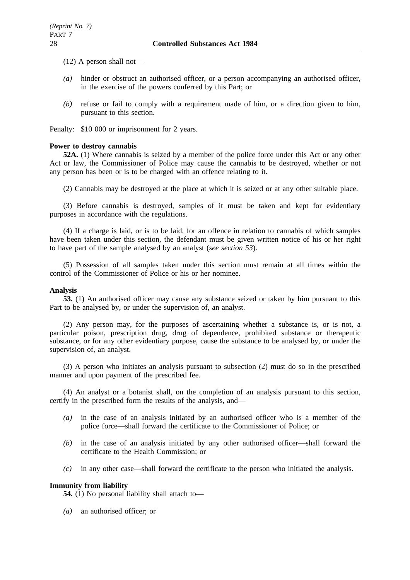(12) A person shall not—

- *(a)* hinder or obstruct an authorised officer, or a person accompanying an authorised officer, in the exercise of the powers conferred by this Part; or
- *(b)* refuse or fail to comply with a requirement made of him, or a direction given to him, pursuant to this section.

Penalty: \$10 000 or imprisonment for 2 years.

# **Power to destroy cannabis**

**52A.** (1) Where cannabis is seized by a member of the police force under this Act or any other Act or law, the Commissioner of Police may cause the cannabis to be destroyed, whether or not any person has been or is to be charged with an offence relating to it.

(2) Cannabis may be destroyed at the place at which it is seized or at any other suitable place.

(3) Before cannabis is destroyed, samples of it must be taken and kept for evidentiary purposes in accordance with the regulations.

(4) If a charge is laid, or is to be laid, for an offence in relation to cannabis of which samples have been taken under this section, the defendant must be given written notice of his or her right to have part of the sample analysed by an analyst (*see section 53*).

(5) Possession of all samples taken under this section must remain at all times within the control of the Commissioner of Police or his or her nominee.

# **Analysis**

**53.** (1) An authorised officer may cause any substance seized or taken by him pursuant to this Part to be analysed by, or under the supervision of, an analyst.

(2) Any person may, for the purposes of ascertaining whether a substance is, or is not, a particular poison, prescription drug, drug of dependence, prohibited substance or therapeutic substance, or for any other evidentiary purpose, cause the substance to be analysed by, or under the supervision of, an analyst.

(3) A person who initiates an analysis pursuant to subsection (2) must do so in the prescribed manner and upon payment of the prescribed fee.

(4) An analyst or a botanist shall, on the completion of an analysis pursuant to this section, certify in the prescribed form the results of the analysis, and—

- *(a)* in the case of an analysis initiated by an authorised officer who is a member of the police force—shall forward the certificate to the Commissioner of Police; or
- *(b)* in the case of an analysis initiated by any other authorised officer—shall forward the certificate to the Health Commission; or
- *(c)* in any other case—shall forward the certificate to the person who initiated the analysis.

# **Immunity from liability**

**54.** (1) No personal liability shall attach to—

*(a)* an authorised officer; or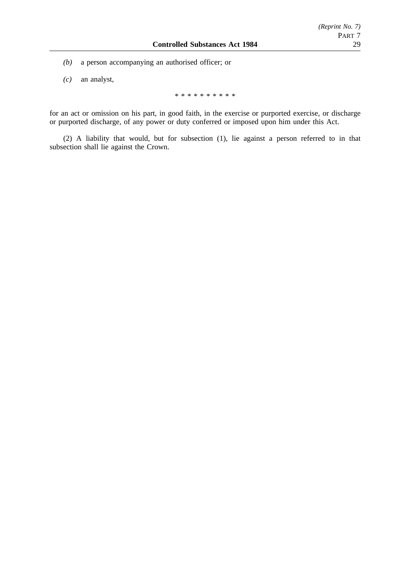- *(b)* a person accompanying an authorised officer; or
- *(c)* an analyst,

\*\*\*\*\*\*\*\*\*\*

for an act or omission on his part, in good faith, in the exercise or purported exercise, or discharge or purported discharge, of any power or duty conferred or imposed upon him under this Act.

(2) A liability that would, but for subsection (1), lie against a person referred to in that subsection shall lie against the Crown.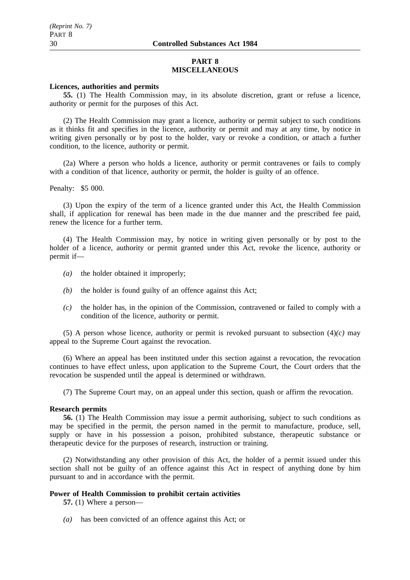### **PART 8 MISCELLANEOUS**

### **Licences, authorities and permits**

**55.** (1) The Health Commission may, in its absolute discretion, grant or refuse a licence, authority or permit for the purposes of this Act.

(2) The Health Commission may grant a licence, authority or permit subject to such conditions as it thinks fit and specifies in the licence, authority or permit and may at any time, by notice in writing given personally or by post to the holder, vary or revoke a condition, or attach a further condition, to the licence, authority or permit.

(2a) Where a person who holds a licence, authority or permit contravenes or fails to comply with a condition of that licence, authority or permit, the holder is guilty of an offence.

Penalty: \$5 000.

(3) Upon the expiry of the term of a licence granted under this Act, the Health Commission shall, if application for renewal has been made in the due manner and the prescribed fee paid, renew the licence for a further term.

(4) The Health Commission may, by notice in writing given personally or by post to the holder of a licence, authority or permit granted under this Act, revoke the licence, authority or permit if—

- *(a)* the holder obtained it improperly;
- *(b)* the holder is found guilty of an offence against this Act;
- *(c)* the holder has, in the opinion of the Commission, contravened or failed to comply with a condition of the licence, authority or permit.

(5) A person whose licence, authority or permit is revoked pursuant to subsection (4)*(c)* may appeal to the Supreme Court against the revocation.

(6) Where an appeal has been instituted under this section against a revocation, the revocation continues to have effect unless, upon application to the Supreme Court, the Court orders that the revocation be suspended until the appeal is determined or withdrawn.

(7) The Supreme Court may, on an appeal under this section, quash or affirm the revocation.

#### **Research permits**

**56.** (1) The Health Commission may issue a permit authorising, subject to such conditions as may be specified in the permit, the person named in the permit to manufacture, produce, sell, supply or have in his possession a poison, prohibited substance, therapeutic substance or therapeutic device for the purposes of research, instruction or training.

(2) Notwithstanding any other provision of this Act, the holder of a permit issued under this section shall not be guilty of an offence against this Act in respect of anything done by him pursuant to and in accordance with the permit.

## **Power of Health Commission to prohibit certain activities**

**57.** (1) Where a person—

*(a)* has been convicted of an offence against this Act; or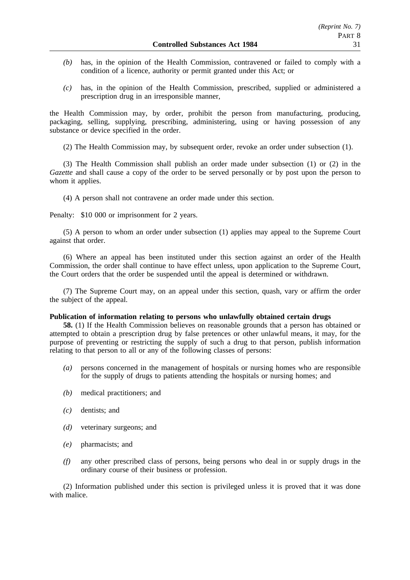- *(b)* has, in the opinion of the Health Commission, contravened or failed to comply with a condition of a licence, authority or permit granted under this Act; or
- *(c)* has, in the opinion of the Health Commission, prescribed, supplied or administered a prescription drug in an irresponsible manner,

the Health Commission may, by order, prohibit the person from manufacturing, producing, packaging, selling, supplying, prescribing, administering, using or having possession of any substance or device specified in the order.

(2) The Health Commission may, by subsequent order, revoke an order under subsection (1).

(3) The Health Commission shall publish an order made under subsection (1) or (2) in the *Gazette* and shall cause a copy of the order to be served personally or by post upon the person to whom it applies.

(4) A person shall not contravene an order made under this section.

Penalty: \$10 000 or imprisonment for 2 years.

(5) A person to whom an order under subsection (1) applies may appeal to the Supreme Court against that order.

(6) Where an appeal has been instituted under this section against an order of the Health Commission, the order shall continue to have effect unless, upon application to the Supreme Court, the Court orders that the order be suspended until the appeal is determined or withdrawn.

(7) The Supreme Court may, on an appeal under this section, quash, vary or affirm the order the subject of the appeal.

### **Publication of information relating to persons who unlawfully obtained certain drugs**

**58.** (1) If the Health Commission believes on reasonable grounds that a person has obtained or attempted to obtain a prescription drug by false pretences or other unlawful means, it may, for the purpose of preventing or restricting the supply of such a drug to that person, publish information relating to that person to all or any of the following classes of persons:

- *(a)* persons concerned in the management of hospitals or nursing homes who are responsible for the supply of drugs to patients attending the hospitals or nursing homes; and
- *(b)* medical practitioners; and
- *(c)* dentists; and
- *(d)* veterinary surgeons; and
- *(e)* pharmacists; and
- *(f)* any other prescribed class of persons, being persons who deal in or supply drugs in the ordinary course of their business or profession.

(2) Information published under this section is privileged unless it is proved that it was done with malice.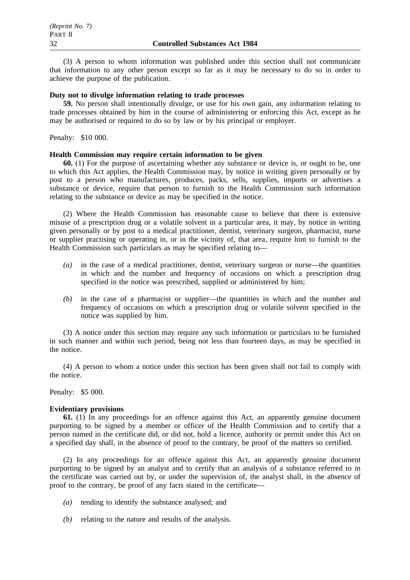(3) A person to whom information was published under this section shall not communicate that information to any other person except so far as it may be necessary to do so in order to achieve the purpose of the publication.

# **Duty not to divulge information relating to trade processes**

**59.** No person shall intentionally divulge, or use for his own gain, any information relating to trade processes obtained by him in the course of administering or enforcing this Act, except as he may be authorised or required to do so by law or by his principal or employer.

Penalty: \$10 000.

### **Health Commission may require certain information to be given**

**60.** (1) For the purpose of ascertaining whether any substance or device is, or ought to be, one to which this Act applies, the Health Commission may, by notice in writing given personally or by post to a person who manufactures, produces, packs, sells, supplies, imports or advertises a substance or device, require that person to furnish to the Health Commission such information relating to the substance or device as may be specified in the notice.

(2) Where the Health Commission has reasonable cause to believe that there is extensive misuse of a prescription drug or a volatile solvent in a particular area, it may, by notice in writing given personally or by post to a medical practitioner, dentist, veterinary surgeon, pharmacist, nurse or supplier practising or operating in, or in the vicinity of, that area, require him to furnish to the Health Commission such particulars as may be specified relating to—

- *(a)* in the case of a medical practitioner, dentist, veterinary surgeon or nurse—the quantities in which and the number and frequency of occasions on which a prescription drug specified in the notice was prescribed, supplied or administered by him;
- *(b)* in the case of a pharmacist or supplier—the quantities in which and the number and frequency of occasions on which a prescription drug or volatile solvent specified in the notice was supplied by him.

(3) A notice under this section may require any such information or particulars to be furnished in such manner and within such period, being not less than fourteen days, as may be specified in the notice.

(4) A person to whom a notice under this section has been given shall not fail to comply with the notice.

Penalty: \$5 000.

### **Evidentiary provisions**

**61.** (1) In any proceedings for an offence against this Act, an apparently genuine document purporting to be signed by a member or officer of the Health Commission and to certify that a person named in the certificate did, or did not, hold a licence, authority or permit under this Act on a specified day shall, in the absence of proof to the contrary, be proof of the matters so certified.

(2) In any proceedings for an offence against this Act, an apparently genuine document purporting to be signed by an analyst and to certify that an analysis of a substance referred to in the certificate was carried out by, or under the supervision of, the analyst shall, in the absence of proof to the contrary, be proof of any facts stated in the certificate—

- *(a)* tending to identify the substance analysed; and
- *(b)* relating to the nature and results of the analysis.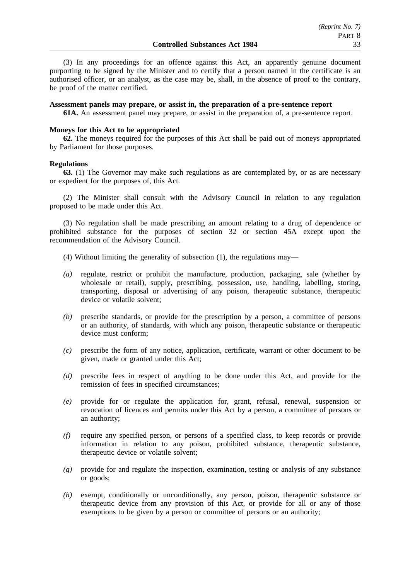(3) In any proceedings for an offence against this Act, an apparently genuine document purporting to be signed by the Minister and to certify that a person named in the certificate is an authorised officer, or an analyst, as the case may be, shall, in the absence of proof to the contrary, be proof of the matter certified.

#### **Assessment panels may prepare, or assist in, the preparation of a pre-sentence report**

**61A.** An assessment panel may prepare, or assist in the preparation of, a pre-sentence report.

### **Moneys for this Act to be appropriated**

**62.** The moneys required for the purposes of this Act shall be paid out of moneys appropriated by Parliament for those purposes.

#### **Regulations**

**63.** (1) The Governor may make such regulations as are contemplated by, or as are necessary or expedient for the purposes of, this Act.

(2) The Minister shall consult with the Advisory Council in relation to any regulation proposed to be made under this Act.

(3) No regulation shall be made prescribing an amount relating to a drug of dependence or prohibited substance for the purposes of section 32 or section 45A except upon the recommendation of the Advisory Council.

- (4) Without limiting the generality of subsection (1), the regulations may—
- *(a)* regulate, restrict or prohibit the manufacture, production, packaging, sale (whether by wholesale or retail), supply, prescribing, possession, use, handling, labelling, storing, transporting, disposal or advertising of any poison, therapeutic substance, therapeutic device or volatile solvent;
- *(b)* prescribe standards, or provide for the prescription by a person, a committee of persons or an authority, of standards, with which any poison, therapeutic substance or therapeutic device must conform;
- *(c)* prescribe the form of any notice, application, certificate, warrant or other document to be given, made or granted under this Act;
- *(d)* prescribe fees in respect of anything to be done under this Act, and provide for the remission of fees in specified circumstances;
- *(e)* provide for or regulate the application for, grant, refusal, renewal, suspension or revocation of licences and permits under this Act by a person, a committee of persons or an authority;
- *(f)* require any specified person, or persons of a specified class, to keep records or provide information in relation to any poison, prohibited substance, therapeutic substance, therapeutic device or volatile solvent;
- *(g)* provide for and regulate the inspection, examination, testing or analysis of any substance or goods;
- *(h)* exempt, conditionally or unconditionally, any person, poison, therapeutic substance or therapeutic device from any provision of this Act, or provide for all or any of those exemptions to be given by a person or committee of persons or an authority;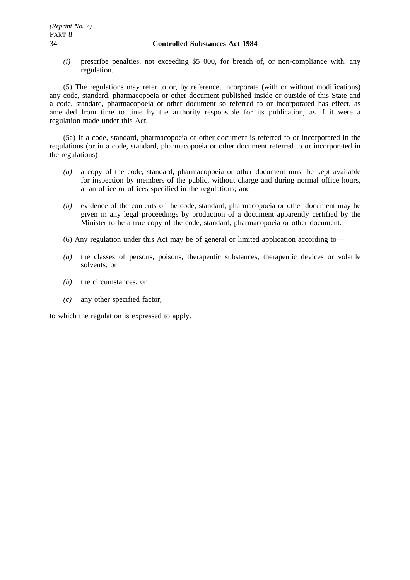*(i)* prescribe penalties, not exceeding \$5 000, for breach of, or non-compliance with, any regulation.

(5) The regulations may refer to or, by reference, incorporate (with or without modifications) any code, standard, pharmacopoeia or other document published inside or outside of this State and a code, standard, pharmacopoeia or other document so referred to or incorporated has effect, as amended from time to time by the authority responsible for its publication, as if it were a regulation made under this Act.

(5a) If a code, standard, pharmacopoeia or other document is referred to or incorporated in the regulations (or in a code, standard, pharmacopoeia or other document referred to or incorporated in the regulations)—

- *(a)* a copy of the code, standard, pharmacopoeia or other document must be kept available for inspection by members of the public, without charge and during normal office hours, at an office or offices specified in the regulations; and
- *(b)* evidence of the contents of the code, standard, pharmacopoeia or other document may be given in any legal proceedings by production of a document apparently certified by the Minister to be a true copy of the code, standard, pharmacopoeia or other document.
- (6) Any regulation under this Act may be of general or limited application according to—
- *(a)* the classes of persons, poisons, therapeutic substances, therapeutic devices or volatile solvents; or
- *(b)* the circumstances; or
- *(c)* any other specified factor,

to which the regulation is expressed to apply.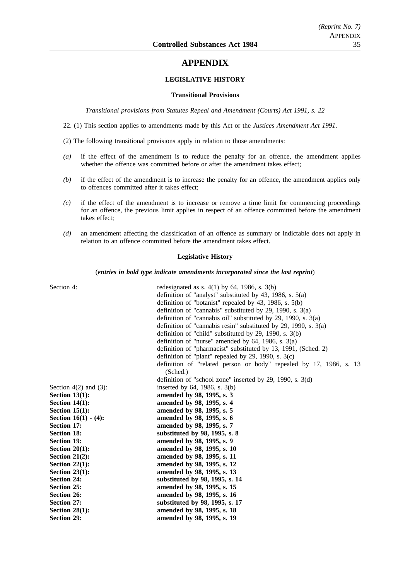# **APPENDIX**

### **LEGISLATIVE HISTORY**

#### **Transitional Provisions**

*Transitional provisions from Statutes Repeal and Amendment (Courts) Act 1991, s. 22*

22. (1) This section applies to amendments made by this Act or the *Justices Amendment Act 1991*.

(2) The following transitional provisions apply in relation to those amendments:

- *(a)* if the effect of the amendment is to reduce the penalty for an offence, the amendment applies whether the offence was committed before or after the amendment takes effect;
- *(b)* if the effect of the amendment is to increase the penalty for an offence, the amendment applies only to offences committed after it takes effect;
- *(c)* if the effect of the amendment is to increase or remove a time limit for commencing proceedings for an offence, the previous limit applies in respect of an offence committed before the amendment takes effect;
- *(d)* an amendment affecting the classification of an offence as summary or indictable does not apply in relation to an offence committed before the amendment takes effect.

#### **Legislative History**

(*entries in bold type indicate amendments incorporated since the last reprint*)

| Section 4:                 | redesignated as s. $4(1)$ by 64, 1986, s. $3(b)$                   |
|----------------------------|--------------------------------------------------------------------|
|                            | definition of "analyst" substituted by 43, 1986, s. $5(a)$         |
|                            | definition of "botanist" repealed by 43, 1986, s. $5(b)$           |
|                            | definition of "cannabis" substituted by 29, 1990, s. $3(a)$        |
|                            | definition of "cannabis oil" substituted by 29, 1990, s. $3(a)$    |
|                            | definition of "cannabis resin" substituted by 29, 1990, s. $3(a)$  |
|                            | definition of "child" substituted by 29, 1990, s. $3(b)$           |
|                            | definition of "nurse" amended by $64$ , 1986, s. $3(a)$            |
|                            | definition of "pharmacist" substituted by 13, 1991, (Sched. 2)     |
|                            | definition of "plant" repealed by 29, 1990, s. $3(c)$              |
|                            | definition of "related person or body" repealed by 17, 1986, s. 13 |
|                            | (Sched.)                                                           |
|                            | definition of "school zone" inserted by 29, 1990, s. 3(d)          |
| Section $4(2)$ and $(3)$ : | inserted by $64$ , 1986, s. $3(b)$                                 |
| Section $13(1)$ :          | amended by 98, 1995, s. 3                                          |
| Section $14(1)$ :          | amended by 98, 1995, s. 4                                          |
| Section $15(1)$ :          | amended by 98, 1995, s. 5                                          |
| Section $16(1) - (4)$ :    | amended by 98, 1995, s. 6                                          |
| <b>Section 17:</b>         | amended by 98, 1995, s. 7                                          |
| <b>Section 18:</b>         | substituted by 98, 1995, s. 8                                      |
| <b>Section 19:</b>         | amended by 98, 1995, s. 9                                          |
| Section $20(1)$ :          | amended by 98, 1995, s. 10                                         |
| Section $21(2)$ :          | amended by 98, 1995, s. 11                                         |
| Section $22(1)$ :          | amended by 98, 1995, s. 12                                         |
| Section $23(1)$ :          | amended by 98, 1995, s. 13                                         |
| <b>Section 24:</b>         | substituted by 98, 1995, s. 14                                     |
| <b>Section 25:</b>         | amended by 98, 1995, s. 15                                         |
| Section 26:                | amended by 98, 1995, s. 16                                         |
| <b>Section 27:</b>         | substituted by 98, 1995, s. 17                                     |
| Section $28(1)$ :          | amended by 98, 1995, s. 18                                         |
| <b>Section 29:</b>         | amended by 98, 1995, s. 19                                         |